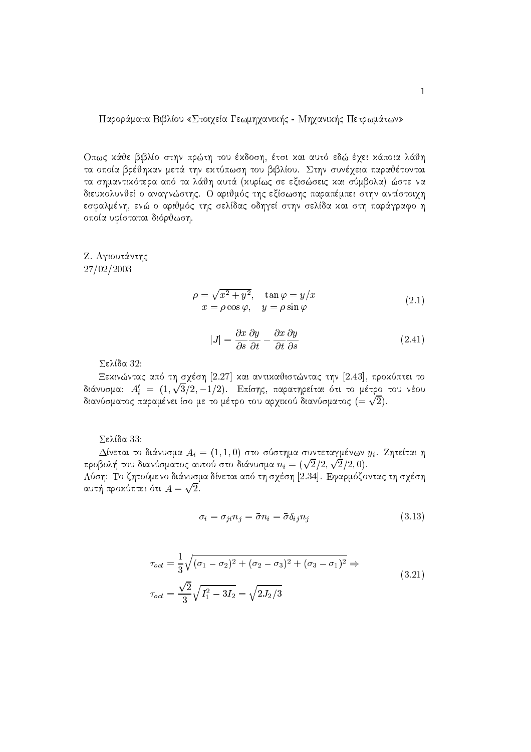Παροράματα Βιβλίου «Στοιχεία Γεωμηχανικής - Μηχανικής Πετρωμάτων»

Οπως κάθε βιβλίο στην πρώτη του έκδοση, έτσι και αυτό εδώ έχει κάποια λάθη τα οποία βρέθηκαν μετά την εκτύπωση του βιβλίου. Στην συνέχεια παραθέτονται τα σημαντικότερα από τα λάθη αυτά (κυρίως σε εξισώσεις και σύμβολα) ώστε να διευχολυνθεί ο αναγνώστης. Ο αριθμός της εξίσωσης παραπέμπει στην αντίστοιχη εσφαλμένη, ενώ ο αριθμός της σελίδας οδηγεί στην σελίδα και στη παράγραφο η οποία υφίσταται διόρθωση.

Ζ. Αγιουτάντης 27/02/2003

$$
\rho = \sqrt{x^2 + y^2}, \quad \tan \varphi = y/x
$$
  
\n
$$
x = \rho \cos \varphi, \quad y = \rho \sin \varphi
$$
\n(2.1)

$$
|J| = \frac{\partial x}{\partial s} \frac{\partial y}{\partial t} - \frac{\partial x}{\partial t} \frac{\partial y}{\partial s}
$$
 (2.41)

 $\Sigma$ ελίδα 32:

Εεκινώντας από τη σγέση [2.27] και αντικαθιστώντας την [2.43], προκύπτει το διάνυσμα:  $A'_i = (1, \sqrt{3}/2, -1/2)$ . Επίσης, παρατηρείται ότι το μέτρο του νέου διανύσματος παραμένει ίσο με το μέτρο του αρχικού διανύσματος  $(=\sqrt{2})$ .

 $\Sigma$ ελίδα 33:

Δίνεται το διάνυσμα  $A_i = (1, 1, 0)$  στο σύστημα συντεταγμένων  $y_i$ . Ζητείται η προβολή του διανύσματος αυτού στο διάνυσμα  $n_i = (\sqrt{2}/2, \sqrt{2}/2, 0)$ .

Λύση: Το ζητούμενο διάνυσμα δίνεται από τη σγέση [2.34]. Εφαρμόζοντας τη σγέση αυτή προχύπτει ότι  $A=\sqrt{2}$ .

$$
\sigma_i = \sigma_{ji} n_j = \bar{\sigma} n_i = \bar{\sigma} \delta_{ij} n_j \tag{3.13}
$$

$$
\tau_{oct} = \frac{1}{3} \sqrt{(\sigma_1 - \sigma_2)^2 + (\sigma_2 - \sigma_3)^2 + (\sigma_3 - \sigma_1)^2} \Rightarrow
$$
\n
$$
\tau_{oct} = \frac{\sqrt{2}}{3} \sqrt{I_1^2 - 3I_2} = \sqrt{2J_2/3}
$$
\n(3.21)